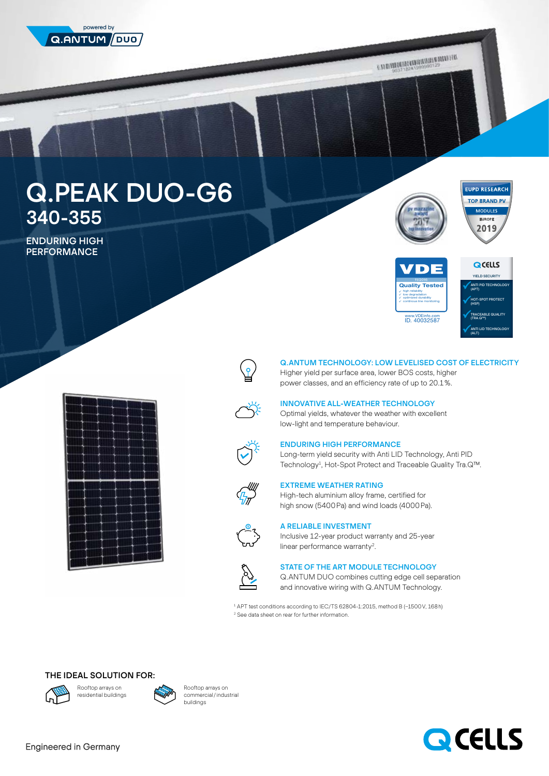

EILEN MATHAMATHE MILIT

# Q.PEAK DUO-G6 340-355

ENDURING HIGH **PERFORMANCE** 







## Q.ANTUM TECHNOLOGY: LOW LEVELISED COST OF ELECTRICITY

Higher yield per surface area, lower BOS costs, higher power classes, and an efficiency rate of up to 20.1%.



 $\overline{\mathbb{F}}$ 

## INNOVATIVE ALL-WEATHER TECHNOLOGY

Optimal yields, whatever the weather with excellent low-light and temperature behaviour.



### ENDURING HIGH PERFORMANCE

Long-term yield security with Anti LID Technology, Anti PID Technology<sup>1</sup>, Hot-Spot Protect and Traceable Quality Tra.Q™.



## EXTREME WEATHER RATING

High-tech aluminium alloy frame, certified for high snow (5400Pa) and wind loads (4000Pa).



# A RELIABLE INVESTMENT

Inclusive 12-year product warranty and 25-year linear performance warranty<sup>2</sup>.



#### STATE OF THE ART MODULE TECHNOLOGY

Q.ANTUM DUO combines cutting edge cell separation and innovative wiring with Q.ANTUM Technology.

1 APT test conditions according to IEC/TS 62804-1:2015, method B (−1500V, 168h) 2 See data sheet on rear for further information.

## THE IDEAL SOLUTION FOR:





Rooftop arrays on commercial/industrial buildings